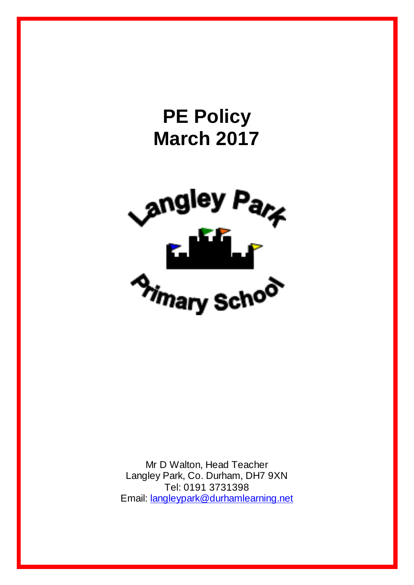

Mr D Walton, Head Teacher Langley Park, Co. Durham, DH7 9XN Tel: 0191 3731398 Email: [langleypark@durhamlearning.net](mailto:langleypark@durhamlearning.net)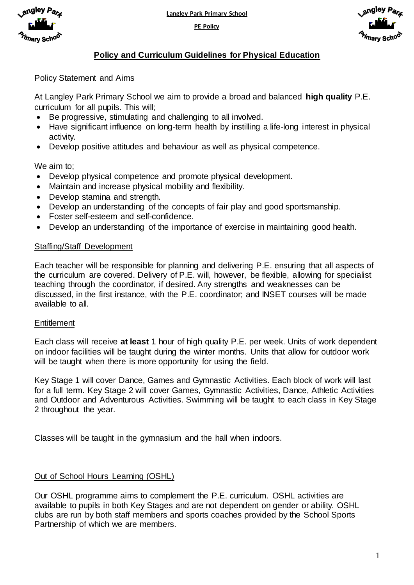**Langley Park Primary School**

**PE Policy**





# **Policy and Curriculum Guidelines for Physical Education**

## Policy Statement and Aims

At Langley Park Primary School we aim to provide a broad and balanced **high quality** P.E. curriculum for all pupils. This will;

- Be progressive, stimulating and challenging to all involved.
- Have significant influence on long-term health by instilling a life-long interest in physical activity.
- Develop positive attitudes and behaviour as well as physical competence.

We aim to;

- Develop physical competence and promote physical development.
- Maintain and increase physical mobility and flexibility.
- Develop stamina and strength.
- Develop an understanding of the concepts of fair play and good sportsmanship.
- Foster self-esteem and self-confidence.
- Develop an understanding of the importance of exercise in maintaining good health.

### Staffing/Staff Development

Each teacher will be responsible for planning and delivering P.E. ensuring that all aspects of the curriculum are covered. Delivery of P.E. will, however, be flexible, allowing for specialist teaching through the coordinator, if desired. Any strengths and weaknesses can be discussed, in the first instance, with the P.E. coordinator; and INSET courses will be made available to all.

### **Entitlement**

Each class will receive **at least** 1 hour of high quality P.E. per week. Units of work dependent on indoor facilities will be taught during the winter months. Units that allow for outdoor work will be taught when there is more opportunity for using the field.

Key Stage 1 will cover Dance, Games and Gymnastic Activities. Each block of work will last for a full term. Key Stage 2 will cover Games, Gymnastic Activities, Dance, Athletic Activities and Outdoor and Adventurous Activities. Swimming will be taught to each class in Key Stage 2 throughout the year.

Classes will be taught in the gymnasium and the hall when indoors.

# Out of School Hours Learning (OSHL)

Our OSHL programme aims to complement the P.E. curriculum. OSHL activities are available to pupils in both Key Stages and are not dependent on gender or ability. OSHL clubs are run by both staff members and sports coaches provided by the School Sports Partnership of which we are members.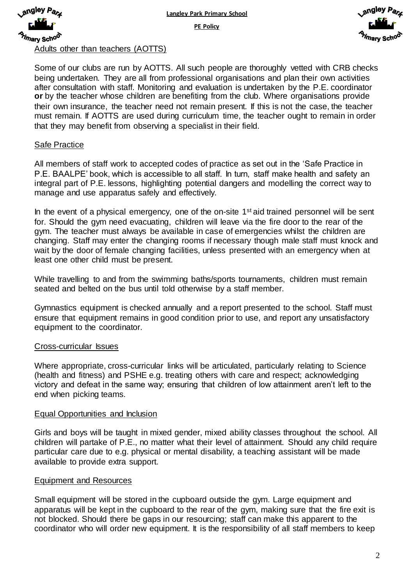

**Langley Park Primary School**

**PE Policy**



Adults other than teachers (AOTTS)

Some of our clubs are run by AOTTS. All such people are thoroughly vetted with CRB checks being undertaken. They are all from professional organisations and plan their own activities after consultation with staff. Monitoring and evaluation is undertaken by the P.E. coordinator **or** by the teacher whose children are benefiting from the club. Where organisations provide their own insurance, the teacher need not remain present. If this is not the case, the teacher must remain. If AOTTS are used during curriculum time, the teacher ought to remain in order that they may benefit from observing a specialist in their field.

### Safe Practice

All members of staff work to accepted codes of practice as set out in the 'Safe Practice in P.E. BAALPE' book, which is accessible to all staff. In turn, staff make health and safety an integral part of P.E. lessons, highlighting potential dangers and modelling the correct way to manage and use apparatus safely and effectively.

In the event of a physical emergency, one of the on-site  $1<sup>st</sup>$  aid trained personnel will be sent for. Should the gym need evacuating, children will leave via the fire door to the rear of the gym. The teacher must always be available in case of emergencies whilst the children are changing. Staff may enter the changing rooms if necessary though male staff must knock and wait by the door of female changing facilities, unless presented with an emergency when at least one other child must be present.

While travelling to and from the swimming baths/sports tournaments, children must remain seated and belted on the bus until told otherwise by a staff member.

Gymnastics equipment is checked annually and a report presented to the school. Staff must ensure that equipment remains in good condition prior to use, and report any unsatisfactory equipment to the coordinator.

#### Cross-curricular Issues

Where appropriate, cross-curricular links will be articulated, particularly relating to Science (health and fitness) and PSHE e.g. treating others with care and respect; acknowledging victory and defeat in the same way; ensuring that children of low attainment aren't left to the end when picking teams.

#### Equal Opportunities and Inclusion

Girls and boys will be taught in mixed gender, mixed ability classes throughout the school. All children will partake of P.E., no matter what their level of attainment. Should any child require particular care due to e.g. physical or mental disability, a teaching assistant will be made available to provide extra support.

#### Equipment and Resources

Small equipment will be stored in the cupboard outside the gym. Large equipment and apparatus will be kept in the cupboard to the rear of the gym, making sure that the fire exit is not blocked. Should there be gaps in our resourcing; staff can make this apparent to the coordinator who will order new equipment. It is the responsibility of all staff members to keep